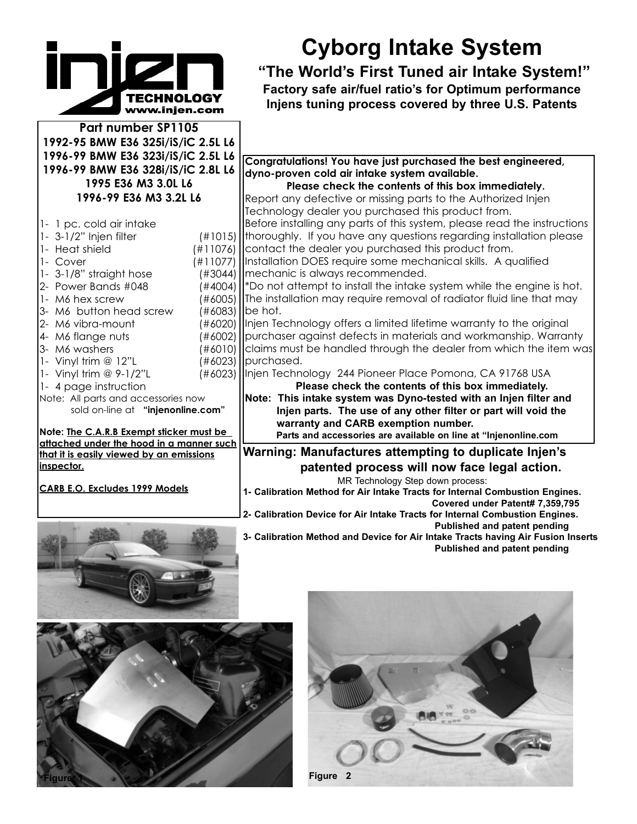## www.injen.com

**Part number SP1105 1992-95 BMW E36 325i/iS/iC 2.5L L6 1996-99 BMW E36 323i/iS/iC 2.5L L6 1996-99 BMW E36 328i/iS/iC 2.8L L6 1995 E36 M3 3.0L L6 1996-99 E36 M3 3.2L L6**

- 1- 1 pc. cold air intake 1- 3-1/2" Injen filter (#1015) 1- Heat shield (#11076) 1- Cover (#11077)
- 1- 3-1/8" straight hose (#3044)
- 2- Power Bands #048 (#4004)
- 1- M6 hex screw (#6005)
- 3- M6 button head screw (#6083)
- 2- M6 vibra-mount (#6020)
- 4- M6 flange nuts (#6002)
- 3- M6 washers (#6010)
- 1- Vinyl trim @ 12"L (#6023)
- 1- Vinyl trim @ 9-1/2"L (#6023)
- 1- 4 page instruction
- Note: All parts and accessories now sold on-line at **"injenonline.com"**

**Note: The C.A.R.B Exempt sticker must be attached under the hood in a manner such that it is easily viewed by an emissions inspector.**

**CARB E.O. Excludes 1999 Models**





## **Cyborg Intake System**

**"The World's First Tuned air Intake System!" Factory safe air/fuel ratio's for Optimum performance Injens tuning process covered by three U.S. Patents** 

**Congratulations! You have just purchased the best engineered, dyno-proven cold air intake system available.**

**Please check the contents of this box immediately.** Report any defective or missing parts to the Authorized Injen Technology dealer you purchased this product from. Before installing any parts of this system, please read the instructions thoroughly. If you have any questions regarding installation please contact the dealer you purchased this product from.

Installation DOES require some mechanical skills. A qualified mechanic is always recommended.

\*Do not attempt to install the intake system while the engine is hot. The installation may require removal of radiator fluid line that may be hot.

Injen Technology offers a limited lifetime warranty to the original purchaser against defects in materials and workmanship. Warranty claims must be handled through the dealer from which the item was purchased.

Injen Technology 244 Pioneer Place Pomona, CA 91768 USA **Please check the contents of this box immediately.**

**Note: This intake system was Dyno-tested with an Injen filter and Injen parts. The use of any other filter or part will void the warranty and CARB exemption number. Parts and accessories are available on line at "Injenonline.com**

**Warning: Manufactures attempting to duplicate Injen's patented process will now face legal action.**

MR Technology Step down process: **1- Calibration Method for Air Intake Tracts for Internal Combustion Engines.** 

**Covered under Patent# 7,359,795 2- Calibration Device for Air Intake Tracts for Internal Combustion Engines.**

**Published and patent pending**

**3- Calibration Method and Device for Air Intake Tracts having Air Fusion Inserts Published and patent pending**

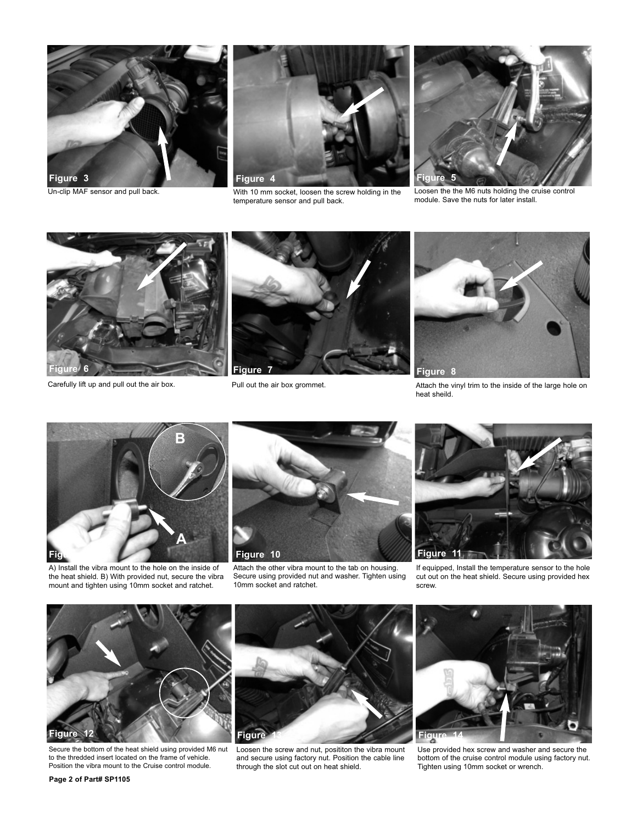



Un-clip MAF sensor and pull back. The M6 nuts with 10 mm socket, loosen the screw holding in the Loosen the the M6 nuts holding the cruise control temperature sensor and pull back.



module. Save the nuts for later install.





Pull out the air box grommet.



Carefully lift up and pull out the air box. Pull out the air box grommet. Attach the vinyl trim to the inside of the large hole on heat sheild.



A) Install the vibra mount to the hole on the inside of the heat shield. B) With provided nut, secure the vibra mount and tighten using 10mm socket and ratchet.



Attach the other vibra mount to the tab on housing. Secure using provided nut and washer. Tighten using 10mm socket and ratchet.



If equipped, Install the temperature sensor to the hole cut out on the heat shield. Secure using provided hex screw.



Secure the bottom of the heat shield using provided M6 nut to the thredded insert located on the frame of vehicle. Position the vibra mount to the Cruise control module.



Loosen the screw and nut, posititon the vibra mount and secure using factory nut. Position the cable line through the slot cut out on heat shield.



Use provided hex screw and washer and secure the bottom of the cruise control module using factory nut. Tighten using 10mm socket or wrench.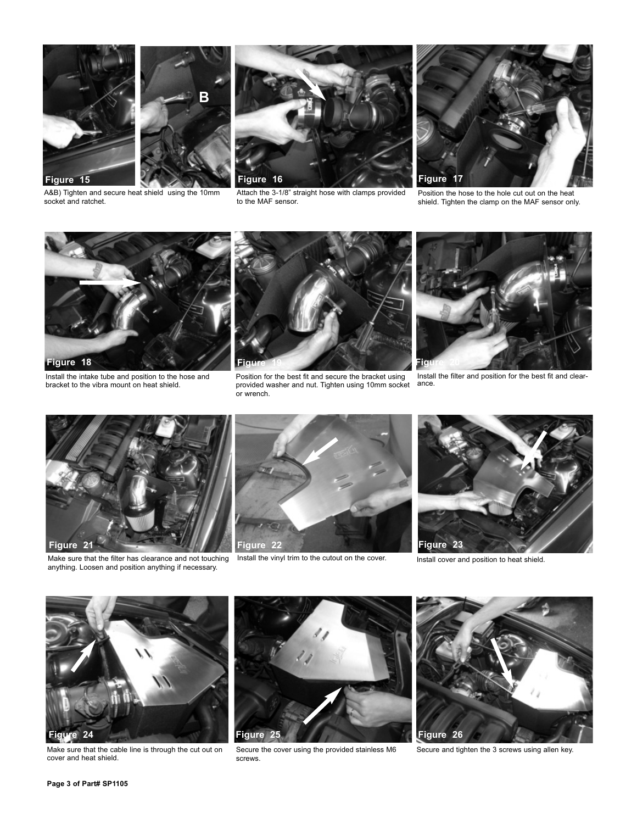

socket and ratchet.





Attach the 3-1/8" straight hose with clamps provided to the MAF sensor.



Position the hose to the hole cut out on the heat shield. Tighten the clamp on the MAF sensor only.



Install the intake tube and position to the hose and bracket to the vibra mount on heat shield.



Position for the best fit and secure the bracket using provided washer and nut. Tighten using 10mm socket or wrench.



Install the filter and position for the best fit and clearance.



Make sure that the filter has clearance and not touching Install the vinyl trim to the cutout on the cover. anything. Loosen and position anything if necessary.





Install cover and position to heat shield.



Make sure that the cable line is through the cut out on cover and heat shield.



Secure the cover using the provided stainless M6 screws.



Secure and tighten the 3 screws using allen key.